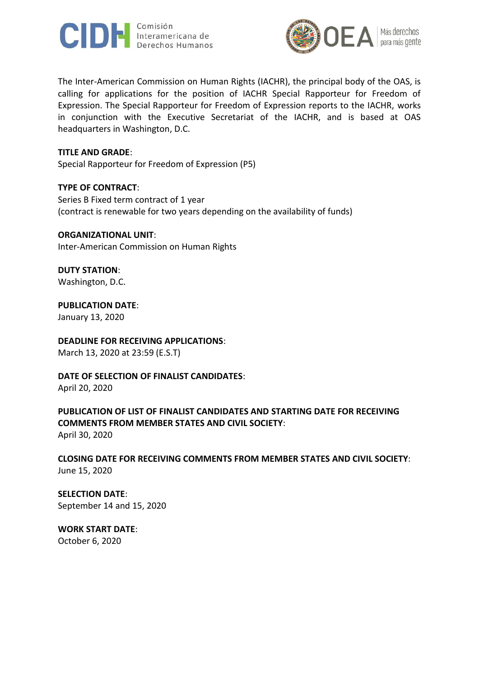



The Inter-American Commission on Human Rights (IACHR), the principal body of the OAS, is calling for applications for the position of IACHR Special Rapporteur for Freedom of Expression. The Special Rapporteur for Freedom of Expression reports to the IACHR, works in conjunction with the Executive Secretariat of the IACHR, and is based at OAS headquarters in Washington, D.C.

#### **TITLE AND GRADE**:

Special Rapporteur for Freedom of Expression (P5)

#### **TYPE OF CONTRACT**:

Series B Fixed term contract of 1 year (contract is renewable for two years depending on the availability of funds)

#### **ORGANIZATIONAL UNIT**:

Inter-American Commission on Human Rights

# **DUTY STATION**:

Washington, D.C.

# **PUBLICATION DATE**:

January 13, 2020

# **DEADLINE FOR RECEIVING APPLICATIONS**:

March 13, 2020 at 23:59 (E.S.T)

# **DATE OF SELECTION OF FINALIST CANDIDATES**:

April 20, 2020

# **PUBLICATION OF LIST OF FINALIST CANDIDATES AND STARTING DATE FOR RECEIVING COMMENTS FROM MEMBER STATES AND CIVIL SOCIETY**: April 30, 2020

**CLOSING DATE FOR RECEIVING COMMENTS FROM MEMBER STATES AND CIVIL SOCIETY**: June 15, 2020

# **SELECTION DATE**: September 14 and 15, 2020

**WORK START DATE**: October 6, 2020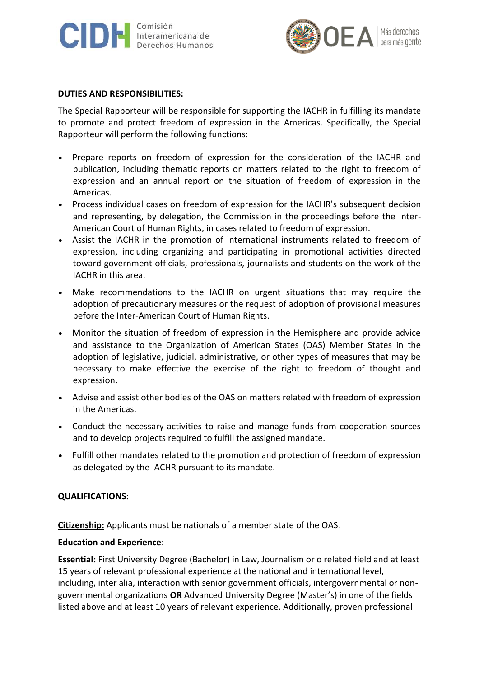



#### **DUTIES AND RESPONSIBILITIES:**

The Special Rapporteur will be responsible for supporting the IACHR in fulfilling its mandate to promote and protect freedom of expression in the Americas. Specifically, the Special Rapporteur will perform the following functions:

- Prepare reports on freedom of expression for the consideration of the IACHR and publication, including thematic reports on matters related to the right to freedom of expression and an annual report on the situation of freedom of expression in the Americas.
- Process individual cases on freedom of expression for the IACHR's subsequent decision and representing, by delegation, the Commission in the proceedings before the Inter-American Court of Human Rights, in cases related to freedom of expression.
- Assist the IACHR in the promotion of international instruments related to freedom of expression, including organizing and participating in promotional activities directed toward government officials, professionals, journalists and students on the work of the IACHR in this area.
- Make recommendations to the IACHR on urgent situations that may require the adoption of precautionary measures or the request of adoption of provisional measures before the Inter-American Court of Human Rights.
- Monitor the situation of freedom of expression in the Hemisphere and provide advice and assistance to the Organization of American States (OAS) Member States in the adoption of legislative, judicial, administrative, or other types of measures that may be necessary to make effective the exercise of the right to freedom of thought and expression.
- Advise and assist other bodies of the OAS on matters related with freedom of expression in the Americas.
- Conduct the necessary activities to raise and manage funds from cooperation sources and to develop projects required to fulfill the assigned mandate.
- Fulfill other mandates related to the promotion and protection of freedom of expression as delegated by the IACHR pursuant to its mandate.

# **QUALIFICATIONS:**

**Citizenship:** Applicants must be nationals of a member state of the OAS.

# **Education and Experience**:

**Essential:** First University Degree (Bachelor) in Law, Journalism or o related field and at least 15 years of relevant professional experience at the national and international level, including, inter alia, interaction with senior government officials, intergovernmental or nongovernmental organizations **OR** Advanced University Degree (Master's) in one of the fields listed above and at least 10 years of relevant experience. Additionally, proven professional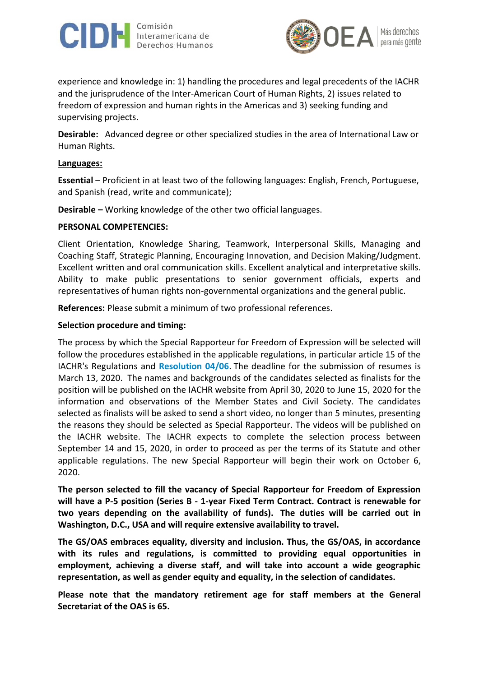



experience and knowledge in: 1) handling the procedures and legal precedents of the IACHR and the jurisprudence of the Inter-American Court of Human Rights, 2) issues related to freedom of expression and human rights in the Americas and 3) seeking funding and supervising projects.

**Desirable:** Advanced degree or other specialized studies in the area of International Law or Human Rights.

#### **Languages:**

**Essential** – Proficient in at least two of the following languages: English, French, Portuguese, and Spanish (read, write and communicate);

**Desirable –** Working knowledge of the other two official languages.

#### **PERSONAL COMPETENCIES:**

Client Orientation, Knowledge Sharing, Teamwork, Interpersonal Skills, Managing and Coaching Staff, Strategic Planning, Encouraging Innovation, and Decision Making/Judgment. Excellent written and oral communication skills. Excellent analytical and interpretative skills. Ability to make public presentations to senior government officials, experts and representatives of human rights non-governmental organizations and the general public.

**References:** Please submit a minimum of two professional references.

#### **Selection procedure and timing:**

The process by which the Special Rapporteur for Freedom of Expression will be selected will follow the procedures established in the applicable regulations, in particular article 15 of the IACHR's Regulations and **[Resolution 04/06](http://www.cidh.org/pdf%20files/resolucion4-06.pdf)**. The deadline for the submission of resumes is March 13, 2020. The names and backgrounds of the candidates selected as finalists for the position will be published on the IACHR website from April 30, 2020 to June 15, 2020 for the information and observations of the Member States and Civil Society. The candidates selected as finalists will be asked to send a short video, no longer than 5 minutes, presenting the reasons they should be selected as Special Rapporteur. The videos will be published on the IACHR website. The IACHR expects to complete the selection process between September 14 and 15, 2020, in order to proceed as per the terms of its Statute and other applicable regulations. The new Special Rapporteur will begin their work on October 6, 2020.

**The person selected to fill the vacancy of Special Rapporteur for Freedom of Expression will have a P-5 position (Series B - 1-year Fixed Term Contract. Contract is renewable for two years depending on the availability of funds). The duties will be carried out in Washington, D.C., USA and will require extensive availability to travel.**

**The GS/OAS embraces equality, diversity and inclusion. Thus, the GS/OAS, in accordance with its rules and regulations, is committed to providing equal opportunities in employment, achieving a diverse staff, and will take into account a wide geographic representation, as well as gender equity and equality, in the selection of candidates.**

**Please note that the mandatory retirement age for staff members at the General Secretariat of the OAS is 65.**